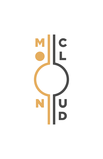# MIC NU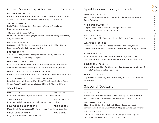# Citrus Driven, Crisp & Refreshing Cocktails

**PRIMITIVE INSTINCT** *16* 

Peloton de la Muerte Mezcal, Passion Fruit, Strega, Mill River Honey, ginger cordial, Fresh lime, served passionately on pebble ice

**THE RUBY SLIPPER** *12* BMD Vodka, Hibiscus-Berry Tea, touch of simple, fresh lime, fresh grated cinnamon

**THE BATTLE OF JALISCO** *13* Luna Azul Tequila blanco, ginger cordial, Mill River honey, fresh lime, Angostura bitters

#### **METEOR SHOWER** *14*

BMD Greylock Gin, Amaro Montenegro, Apricot, Mill River Honey, Fresh Lime, Torched cinnamon, Starfruit

#### **PROFESSOR X** *13*

Amaro Dell Etna, Lustau Brandy de Jerez & Cherry-Vanilla Cola. Yeah, That's Right, Dr. Pepper Highball

**DAVY JONES' LOCKER 2.0** *16*  Billy Jack's House Swedish Punsch, Fresh lime, MoonCloud Ginger Cordial, Fresh Pressed Pineapple, Cinnamon Cordial, Angostura

**OVERLOOK HOTEL** *14* **COCKTAIL ON DRAFT** Peleton de la Muerte Mezcal, Blood Orange, Forthave Bitter Red, Lime

**ROSÉ SANGRIA** *12* **COCKTAIL ON DRAFT** Blend of Pinot Noir Rosé and Sparkling Wine, Banks 5 Island Rum, Cocchi Rosa, Velvet Falernum, Juices, CO2, with Flowers & Fruit

# Mocktails

**LUNA ALOHA** *6* **ADD BOOZE** *13*

hibiscus & berry tea, orgeat, aztec chocolate bitters, lemon

**SAFE HAVEN** *8* **ADD BOOZE** *15* fresh pressed pineapple, ginger, cinnamon, lime & bubbles

**FULL FLEDGE GINGER BEER** *6* **ADD BOOZE** *13* MoonCloud Ginger cordial, Mill River Honey, Fresh Lime, Sparkles

**VIRGIN BLOODY MARY** *6* **ADD BOOZE** *13* Billy's kickin' Mary Mix with the fixins

# Spirit Forward, Boozy Cocktails

**MEZCAL NEGRONI** *13*

Peloton de la Muerte Mezcal, Campari, Dolin Rouge Vermouth, Zucca Rabarbaro

**AMERICAN GRAFFITI** *16* Origen Raiz Cenizo Mezcal of Durango, Cocchi Rosa, Dorothy Parker GIn, Cynar, Cinnamon

**KIND OF BLUE** *15* Forthave "Blue" Gin, Genepy le Chamois, Vermut Flores de Uruguay

**WRAPPED IN ECHOES** *14* BMD Race Brook Rye, Los Arcos Amontillado Sherry, Cynar, Coffee & Clove Infused Dolin Rouge Vermouth, Vanilla, Apple Bitters

**3 RING CIRCUS** *14* Barbados Aged Rum, Avua Amburana Cachaça, Dopo Teatro, Bully Boy Coopertive #2, Demerara, Angostura, Aztec Chocolate

**GOLDEN MILK PUNCH** *15* Blend of Rum and Spirits, Chamomile Tea, Spices, Lemon, Sugar, Blue Hill Milk, Clarified to golden perfection

**MÉNAGE À TROIS** *16* Leyanda Mezcal Durangensis, House Marjoram Apertif, MoonCloud Strawberry Cordial

# Seasonal Cocktails

#### **HOT SPICED CIDER** *14*

BMD Racebrook Rye Whiskey, Lustau Brandy de Jerez, Calvados, Richmond Cider, Spice blend, charred lemon, cinnamon stick

#### **COOL HAND LUKE** *16*

Elijah Craig SB Bourbon, Coffee & Clove infused Vermouth, Cinnamon bark syrup, Black Walnut, Allspice, Whole Egg, nutmeg

#### **GUILTY PLEASURE** *14*

Our "Espresso Martini" Vanilla Vodka, Maple Cream Liqueur, Cold Brew Coffee Brandy, Touch of Chocolate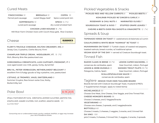### Cured Meats

 **FINOCCHIONA** *10* **BRESAOLA** *10* **COPPA** *10*  Fennel pork sausage cured Waygu beef Spice cured pork loin

 **SOPPRESSATA** *10* **SPECK** *14 (\*4)*  cured pork sausage dry cured smoked ham

 **CHICKEN LIVER MOUSSE** *16 (\*6)* 

Mill River Farm Chicken livers with Cocchi Rosa gelé, Rice Crackers

## Cheese

**RUBINER'S** 

**FLORY'S TRUCKLE CHEDDAR, MILTON CREAMERY, MO.** *8* Jersey Cow, Crystaline, Clothe-Bound, Firm!

**CHAMPLAIN TRIPLE CREAM, MIDDLEBURY, VT.** *15 (\*6)* Rich, Bloomy Brie-like pasteurized cow

**GORGONZOLA CREMIFICATO, LUIGI GUFFANTI, PIEDMONT, IT** *8*  cave aged sweet cow milk, gooey, funky, dynamite!

**BRU-XL, PETER VERBUGGEN, NETHERLANDS? BELGIUM?** *8* excellent firm & fudgy gouda w/ big crystaline, cow, pasteurized

**L'ETIVAZ, LE TROMPEY, VAUD, SWITZERLAND** *9* Summer Gruyère, Raw brown swiss Cow, Nutty, Buttermilky tart

# Poke Bowl



shoyu marinated ahi tuna, edemame, pickled cucumber, jasmine rice, sriacha aioli, wasabi crumble, nori, scallion, sesame seeds *24* GLUTEN FREE**\***

*Consuming raw or undercooked meats, poultry, seafood, shellfish, or eggs may increase your risk of foodborne illness.*

# Pickled Vegetables & Snacks

**PICKLED RED AND YELLOW CARROTS** *8* **PICKLED BEETS** *8*

**KOHLRABI PICKLED W/ GINGER & GARLIC** *8* 

**ROSEMARY & CHILI NUTS** *8* **MARINATED OLIVES** *7*

**SOURDOUGH TOAST & XVOO** *7* **STUFFED GRAPE LEAVES** *7*

**CHEVRE & BEETS OVER PEA SHOOTS & VINAIGRETTE** *12 (\*4)*

# Spreads & Soup

**TAPENADE VERDE ON TOAST** *10* castelvetrano & Kalamata w/ cumin

**CAULIFLOWER & WHITE BEAN "HUMMUS" W/ TOAST** *10*

**MUHAMMARA ON TOAST** *10* Turkish classic of roasted red peppers, toasted walnuts, bread crumbs, w/ traditional spices **VEGAN SOUP OF THE DAY** *14* served w/ Creature Sourdough toast.

# Tinned Fish

**RAZOR CLAMS IN BRINE** *18 (\*6)* **LEMON CAPER MACKEREL** *12*  Patagonia, Galicia, SpainJose Gourmet, Lisbon, Portugal

conservas de cambados, spain Jose Gourmet, Lisbon, Portugal **LEMON & HERB MUSSELS** *12* **SMOKED TROUT FILETS** *18 (\*6)*

 **SCALLOPS/GALICIAN SAUCE** *11* 

conservas de cambados, spain

Tagliere **DESIGN YOUR OWN TAGLIERE BOARD**

Boards Served with Creature Sourdough Toast, mustard & PRO's (\* Supplemental charges apply to noted items)

#### **MICHELANGELO** *30*

Choose One Meat, One Cheese, One Veggie, and One Tinned Fish. **CHEESE MONGER'S BOARD** *36* Choose 3 cheeses, and 2 Veggies/Snacks **VEGETARIANO** *40* Choose one cheese, 2 spreads, and 2 veggies/snacks **BOTTICELLI** *60* Choose 2 meats, 2 cheeses, 2 veggies, 2 snacks, and 2 tinned fish **DA VINCI** *100* pick 3 meats, 3 cheeses, 3 tinned fish, 3 veggies, 2 snacks, 2 spreads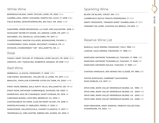# $M_{Z}$

# White Wine

**BORDEAUX BLANC, MARY TAYLOR, LOIRE, FR. 2020** *11/44* **GAMBELLARA, MENTI GIOVANNI, MONTE DEL CUCA, IT. 2018** *13/52* **FIELD BLEND, GEWURTZ/RIESLING, BIG SALT, OR. 2020** *14/56*

*-----------------------------------------------------------------------------------*

**SANCERRE, HENRI BOURGEOIS, LA CHAP. DES AUGUSTINS 2018** *60* **MUSCADET SEVRÈ-ET-MAINE, JO LARDON, LOIRE, FR. 2017** *48-* **MACABEO, VIG. REVEILLE, CATALANES, FR. 2017** *60-* **CHARDONNAY, MACON VILLAGES, BOURGOGNE, FR.2019** *52-* **CHARDONNAY, DOM. DANIEL SEGUINOT, CHABLIS, FR.** *65-* **DIVISION, CHARDONNAY "UN" WILLAMETTE, OR.** *62-*

#### Rosé

**GAMAY, MARY TAYLOR, ST. PORÇAIN, LOIRE VALLEY, FR. 2020** *12/44* **AMEZTOI, GET. TXAKOLINA, RUBENTIS, BASQUE, SP 2018** *15/58*

# Red Wine

**NEBBIOLO, LA KIUVA, PIEDMONT, IT. 2020** *13/52* **CAB FRANC, BOURGUEIL, VALLÈE DE LA LOIRE, FR. 2017** *12/48* **BRAUCOL, PAPILLON D'ORPHÈE COTES DU TARN, FR. 2020** *14/56 -----------------------------------------------------------------------------------*

**PINOT NOIR, BREBIS, EOLA AMITY HILLS, WILLAMETTE, OR. '17** *60* **PINOT NOIR, METHODE CARBONIQUE, DIVISION, OR. 2020** *56* **MINERVOIS, MAS DE CYNANQUE, SAINT CHINIAN, FR. 2019** *48* **CARIGNAN BLEND, LOVE RED, BERKELEY CA. 2019** *52* **CHATEAUNEUF DU PAPE, CLOS DE MONT OLIVET, FR. 2018** *85* **MONTELPUCIANO, D' ABRUZZO, FERZO, IT. 2016** *58-* **SANGIOVESE, VALLEPICCIOLA, CHIANTI CLASSICO, IT. 2017** *52* **TEMPRANILLO, VIÑA SASTRE, RIBERA DEL DUERO, SP. 2016** *85*

# Sparkling Wine

**BLANC DE BLANC, GRUET, NM** *13/52*

**LAMBRUSCO SECCO TENUTA PEDERZANA, IT** *11/44* **MENTI FRIZZANTE, "ORANGE WINE" GAMBELLERA, IT** *13/52* **CREMENT DE LOIRE, CHATEAU DU BREUIL, FR 2016** *52-*

#### Reserve Wine List

**BAROLO, GAJA SPERSS, PIEDMONT, ITALY. 1995** *300* **LANGHE, GAJA SPERSS, PIEDMONT, IT. 1998** *350*

**MARCHESI ANTINORI TIGNANELLO, TUSCANY, IT. 1996** *200* **MARCHESI ANTINORI TIGNANELLO, TUSCANY, IT. 2005** *210* **MARCHESI ANTINORI SOLAIA, TUSCANY, IT. 1990** *400*

**CHATEAU MARGAUX, 1ER GRAND CRU CLASSÉ, FR. 1984** *500*

**JUSTIN ISOSCELES, CABERNET SAUVIGNON, PASO ROBLES, CA. 2017** *160*

**OPUS ONE, NAPA VALLEY BORDEAUX BLEND, CA. 1995** *475* **OPUS ONE, NAPA VALLEY BORDEAUX BLEND, CA. 2000** *450* **OPUS ONE, NAPA VALLEY BORDEAUX BLEND, CA. 2002** *450* **OPUS ONE, NAPA VALLEY BORDEAUX BLEND, CA. 2006** *475*

**DOM PERIGNON, ANDY WARHOL TRIBUTE COLLECTION, CHAMPAGNE, FR. 2002** *575*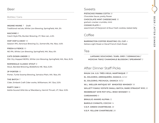#### Bottles / Cans

**INSANE MAINE** *7* Draft Traditional red ale, White Lion Brewing, Springfield, MA, 5%

**MACHINE** *8* Czech Style Pils, Bunker Brewing, VT, 16oz can, 4.5%

**HOP HOP & AWAY** *10* Session IPA, Aeronaut Brewing Co., Somerville, Ma. 16oz, 4.6%

**FRESH & FIERCE** *10* NE IPA, White Lion Brewing, Springfield, MA, 16oz, 6%

**CATS DOWN UNDER** *12* Dbl. Dry Hopped NEIPA, White Lion Brewing, Springfield, MA, 16oz, 8.2%

**NORWEALD CLASSIC STOUT** *8* Stout, Banded Brewing, Biddeford, ME. 16oz, 6.5%

**JP PORTER** *10* Porter, Turtle Swamp Brewing, Jamaica Plain, MA. 16oz, 6%

**THE BATCH** *7* Cider, Embark Craft Cider works, Williamson, NY. 12oz, 5.5%

**PARTY JAM** *8* Kettle Soured Wild Ale w/ Blackberry, Hermit Thrush, VT, 16oz. 5.9%

#### Sweets

**PISTACHIO PANNA COTTA** *10*  Chocolate Sauce, pretty flower **CHOCOLATE MINT CHEESECAKE** *10*  graham cracker crumble, mint **COOKIE PLATE** *8*  assortment of Marjoram & Roux fresh cookies, baked daily

#### Coffee

**BARRINGTON COFFEE ROASTING CO, CUP** *4* Ketiara Light Roast or Decaf French Dark Roast

#### Tea

**LAPSANG SOUCHONG / EARL GREY / GENMAICHA / HOJICHA TWIG/ CHAMOMILE BLOSSOM / SPEARMINT** *3*

## After Dinner Staff Picks

**RHUM J.M. X.O. TRÈS VIEUX, MARTINIQUE** *17* **EL JOLGORIO, ARROQUEÑO, OAXACA** *22/40* **EL JOLGORIO, PECHUGA, OAXACA** *18/32* **W.L. WELLER ANTIQUE 107 WHEATED WHISKEY** *18* **WILLETT FAMILY ESTATE SMALL BATCH, RARE STRAIGHT RYE** *20* **REDBREAST 12YR POT STILL IRISH WHISKEY** *16* **CARDAMARO** *9* **BRAULIO AMARO ALPINA** *12* **BAROLO CHINATO, COCCHI** *14* **V.E.P. GREEN CHARTREUSE** *28* **V.E.P. YELLOW CHARTREUSE** *28*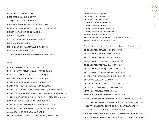**PLYMOUTH, LONDON DRY** *12* **BEEFEATER, LONDON DRY** *12* **TANQUERAY, LONDON DRY** *12* **BERKSHIRE MOUNTAIN DISTILLERS GREYLOCK** *10* **BERKSHIRE MOUNTAIN DISTILLERS ETHEREAL** *12* **DOROTHY PARKER BROOKLYN GIN** *14* **CALEDONIA, BARR HILL** *16* **CITADELLE RESERVE, BARREL AGED** *14* **HAYMAN'S OLD TOM** *12* **MONKEY 47, SCHWARZWALD DRY GIN** *16* **FORTHAVE GIN "BLUE"** *14* **STONECUTTER BARREL AGED GIN, VERMONT** *14*

#### Rum

**RHUM BARBANCOURT 15YR, HAITI** *14* **RHUM J.M. V.O. RHUM VIEUX, MARTINIQUE** *16* **RHUM J.M. X.O. TRÈS VIEUX, MARTINIQUE** *18* **MATUSALEM GRAN RESERVA 15YR, CUBA** *14* **PLANTATION ORIGINAL DARK, BARBADOS** *10* **PLANTATION O.F.T.D. 69% ABV, BARBADOS** *10* **PLANTATION 20TH YR ANNIVERSARY XO, BARBADOS** *16* **PLANTATION PINEAPPLE STIGGIN'S ORIGINAL, BARBADOS** *10* **SMITH & CROSS TRADITIONAL POT STILL, 57%, JAMAICA** *10* **BANK'S 5 ISLAND, BLEND OF CARIBBEAN** *10* **BULLY BOY COOPERATIVE NO. 1 BOSTON, MA** *14* **BULLY BOY COOPERATIVE NO. 2 BOSTON, MA** *14* **AVUA CACHAÇA AMBURANA, BRAZIL** *14* **MOUNT GAY 1703 MASTER SELECT 10YR, BARBADOS** *30*

#### Tequila

**SIEMBRA AZUL BLANCO** *13* **SIETE LEGUAS BLANCO** *13* **SIETE LEGUAS AÑEJO** *14* **CLASE AZUL REPOSADO** *24* **GRAND MAYAN BLANCO** *16* **GRAND MAYAN REPOSADO** *18* **GRAND MAYAN EXTRA AÑEJO** *26* **PARTIDA REPOSADO** *14* **TEQUILA OCHO REPOSADO, 2019 SINGLE ESTATE** *14* **KOMOS ANEJO CRYSTALINO** *22*

#### Mezcal (1oz/2oz pour) or Ask us about a Mezcal Flight

**EL JOLGORIO, ESPADÍN, OAXACA** *11/20* **EL JOLGORIO, BARRIL, OAXACA** *15/28* **EL JOLGORIO, PECHUGA, OAXACA** *18/32* **EL JOLGORIO, TEPEZTATE, OAXACA** *18/32* **EL JOLGORIO, TOBALÁ, OAXACA** *15/28* **EL JOLGORIO, ARROQUEÑO, OAXACA** *22/40* **EL JOLGORIO, TOBASICHE, OAXACA** *26/48* **CLASE AZUL MEZCAL, CENIZO, DURANGO** *42/78* **LEYENDA, ESPADIN, OAXACA** *8/16* **LEYENDA, DURANGANESIS, DURANGO** *10/18* **LEYENDA, CUPREATA, GUERRERO** *10/18* **LEYENDA, TOBALÁ, PUEBLA** *12/22* **MARCA NEGRA, DOBADAN, OAXACA** *10/18* **NUESTRA SOLEDAD, ESPADÍN, LACHIGUÍ MIAHUATLÍN OAX.** *7/14* **NUESTRA SOLEDAD, ESPADÍN, SAN LUIS DEL RIO, OAX.** *7/14* **NUESTRA SOLEDAD, ESPADÍN, SAN BALTAZAR, OAX.** *7/14* **ORIGEN DE RAÍZ, CENIZO, DURANGO** *9/18* **LA VENENOSA, AMARILLO/CHICO,, COSTA DE JALISCO** *10/18* **LA VENENOSA, INAEQUIDENS, SIERRA DEL TIGRE, JALISCO** *17/30*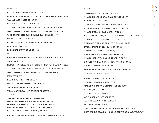#### Bourbon

**ELIJAH CRAIG SMALL BATCH 12YR.** *14*

**BERKSHIRE MOUNTAIN DISTILLERS BERKSHIRE BOURBON** *12*

**W.L. WELLER ANTIQUE 107** *18*

**FOUR ROSES SINGLE BARREL** *14*

**TACONIC DISTILLERY, DUTCHESS PRIVATE RESERVE, 45%** *14*

**WOODFORD RESERVE, KENTUCKY STRAIGHT BOURBON** *15*

**WOODFORD RESERVE, DOUBLE OAK BOURBON** *17*

**WILLETT SPECIAL RESERVE** *16*

**BLANTON'S KENTUCKY STRAIGHT BOURBON** *17*

**BUFFALO TRACE** *15*

**EAGLE RARE 10YR BOURBON** *15*

Rye

**BERKSHIRE MOUNTAIN DISTILLERS RACE BROOK RYE** *14*

**SAZERAC RYE** *10*

**HUDSON WHISKEY, "DO THE RYE THING" TUTHILLTOWN 46%** *14* **TACONIC DISTILLERY, FOUNDER'S STRAIGHT RYE 45%** *14*

**WOODFORD RESERVE, KENTUCKY STRAIGHT RYE** *15*

Irish Whiskey

**REDBREAST 12YR POT STILL** *16*

**WEST CORK BOURBON CASK AGED** *12*

**TULLAMORE DEW CIDER CASK** *12*

**TULLAMORE DEW 12YR SPECIAL RESERVE** *12*

Scotch

**THE FEATHERY, BLENDED, SPEYSIDE** *12* **OBAN 14YR SINGLE MALT, WEST HIGHLAND** *16* **DALWHINNIE 15YR. SINGLE MALT, HIGHLAND** *14* **MACALLAN 12YR. SINGLE MALT, HIGHLAND** *16* **LAGAVULIN 16YR. SINGLE MALT, ISLAY** *20*

#### Amaro

**CARDAMARO, PIEDMONT, IT 17%** *9* **AMARO MONTENEGRO, BOLOGNA, IT 23%** *12* **NONINO AMARO, IT 35%** *14* **CYNAR, RICETTA ORIGINALE, MILAN IT 17%** *10* **AVERNA AMARO SICILIANO, SICILY, IT 29%** *10* **AMARO LUCANO, BASILICATA, IT 28%** *10* **AMARO DELL ETNA, RICETTA ORIGINALE, SICILY, IT 29%** *10* **DON CICCIO C3 CARCIOFO, D.C., USA 23%** *12* **DON CICCIO AMARO FERNET, D.C., USA 25%** *12* **ZUCCA RABARBARO, MILAN, IT 30%** *10* **L'AMARO NARDINI, FLORENCE, IT 29%** *12* **AMARO DI ANGOSTURA, TRINIDAD 35%** *9* **AMARO-CAMATTI, CINQUE TERRE, IT 20%** *9* **BIGALLET CHINA CHINA AMER, FRANCE 40%** *12* **BRAULIO AMARO ALPINA 21%** *12* **TH.KRAMERS AROMATIQUE, GERMANY 40%** *10*

Digestivos / Fine Spirits

**BAROLO CHINATO, COCCHI** *14* **NONINO, GRAPPA DI MERLOT** *12* **MAROLO, GRAPPA & CHAMOMILE LIQUEUR** *14* **NOCINO, NUX ALPINA** *10* **NOCINO, VILLA ZARRI** *14* **V.E.P. GREEN CHARTREUSE** *28* **V.E.P. YELLOW CHARTREUSE** *28* **MOLINARI SAMBUCA** *10* **CHATEAU DE LAUBADE, BAS ARMAGNAC, V.S.O.P.** *16* **CHATEAU DE BEAULON, SINGLE ESTATE COGNAC, V.S.O.P.** *16*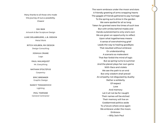Many thanks to all those who made this journey of ours a possibility. Cheers!

**DAI BAN**  Artwork & Bar Sculpture Design

**LUKE DELABRUERE, L.B. DESIGN** Metal Work

**RITCH HOLBEN, RH DESIGN** Design Consulting

> **JOSHUA CRANE** Logo

**PAUL MALMQUIST** Mr. Everything

**NATHAN STOLTZFUS Carpentry** 

> **ERIC BRENNER** Graphic Design

**NANCY TOMASOVICH** Lighting

**PHIL TIMPANE** General Contractor The warm embrace under the moon and stars A friendly greeting of arms wrapping hearts The gaggle of friends gathered to pay homage To the spring sun's shine in the garden We were spoiled for all so long Taken for granted were the times of such love But with smiles behind masks and Hands outstretched to only one's own We are given an opportunity to reflect Upon what togetherness means A sense of overwhelming grief Leads the way to healing goodbyes That resulted without embrace Or understanding A scenario so malevolent That fear forbid the mind of logic But as spring turns to summer And the planet plays her own game With lilacs and violets We see the path to an end But only wisdom shall prevail An empathy not disguised by duality Rather a solidarity Of respect Love And memory Let it all not be for naught Their names will be etched Their memory will live on Goddamned politics aside To a future where once again We embrace under the moon. Embrace- —Billy Jack Paul